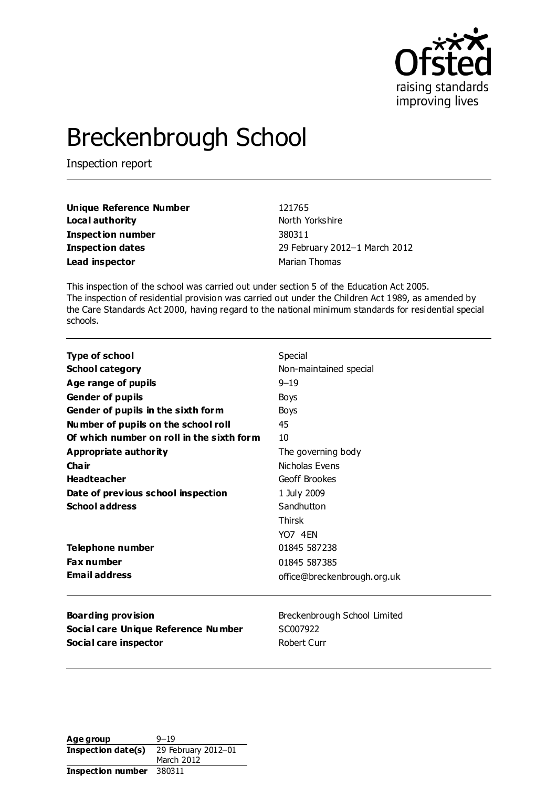

# Breckenbrough School

Inspection report

| Unique Reference Number | 121765                        |
|-------------------------|-------------------------------|
| Local authority         | North Yorkshire               |
| Inspection number       | 380311                        |
| Inspection dates        | 29 February 2012-1 March 2012 |
| Lead inspector          | Marian Thomas                 |

This inspection of the school was carried out under section 5 of the Education Act 2005. The inspection of residential provision was carried out under the Children Act 1989, as amended by the Care Standards Act 2000, having regard to the national minimum standards for residential special schools.

| <b>Type of school</b>                     | Special                      |  |  |
|-------------------------------------------|------------------------------|--|--|
| <b>School category</b>                    | Non-maintained special       |  |  |
| Age range of pupils                       | $9 - 19$                     |  |  |
| <b>Gender of pupils</b>                   | Boys<br>Boys                 |  |  |
| Gender of pupils in the sixth form        |                              |  |  |
| Number of pupils on the school roll       | 45                           |  |  |
| Of which number on roll in the sixth form | 10                           |  |  |
| Appropriate authority                     | The governing body           |  |  |
| Cha ir                                    | Nicholas Evens               |  |  |
| <b>Headteacher</b>                        | Geoff Brookes                |  |  |
| Date of previous school inspection        | 1 July 2009                  |  |  |
| <b>School address</b>                     | Sandhutton                   |  |  |
|                                           | <b>Thirsk</b>                |  |  |
|                                           | YO7 4FN                      |  |  |
| <b>Telephone number</b>                   | 01845 587238                 |  |  |
| <b>Fax number</b>                         | 01845 587385                 |  |  |
| <b>Email address</b>                      | office@breckenbrough.org.uk  |  |  |
| <b>Boarding provision</b>                 | Breckenbrough School Limited |  |  |
| Social care Unique Reference Number       | SC007922                     |  |  |
| Social care inspector                     | Robert Curr                  |  |  |

**Age group** 9-19 **Inspection date(s)** 29 February 2012–01 March 2012 **Inspection number** 380311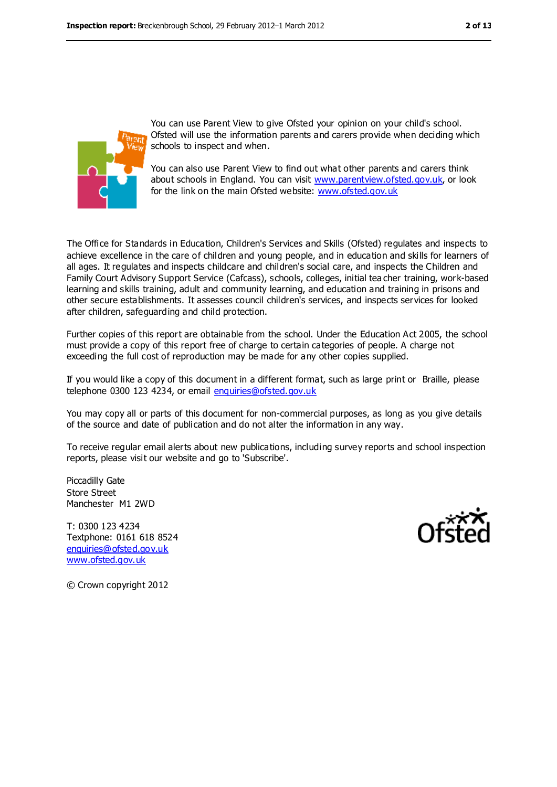

You can use Parent View to give Ofsted your opinion on your child's school. Ofsted will use the information parents and carers provide when deciding which schools to inspect and when.

You can also use Parent View to find out what other parents and carers think about schools in England. You can visit [www.parentview.ofsted.gov.uk,](../../Downloads/www.parentview.ofsted.gov.uk) or look for the link on the main Ofsted website: [www.ofsted.gov.uk](../../Downloads/www.ofsted.gov.uk)

The Office for Standards in Education, Children's Services and Skills (Ofsted) regulates and inspects to achieve excellence in the care of children and young people, and in education and skills for learners of all ages. It regulates and inspects childcare and children's social care, and inspects the Children and Family Court Advisory Support Service (Cafcass), schools, colleges, initial tea cher training, work-based learning and skills training, adult and community learning, and education and training in prisons and other secure establishments. It assesses council children's services, and inspects services for looked after children, safeguarding and child protection.

Further copies of this report are obtainable from the school. Under the Education Act 2005, the school must provide a copy of this report free of charge to certain categories of people. A charge not exceeding the full cost of reproduction may be made for any other copies supplied.

If you would like a copy of this document in a different format, such as large print or Braille, please telephone 0300 123 4234, or email [enquiries@ofsted.gov.uk](mailto:enquiries@ofsted.gov.uk)

You may copy all or parts of this document for non-commercial purposes, as long as you give details of the source and date of publication and do not alter the information in any way.

To receive regular email alerts about new publications, including survey reports and school inspection reports, please visit our website and go to 'Subscribe'.

Piccadilly Gate Store Street Manchester M1 2WD

T: 0300 123 4234 Textphone: 0161 618 8524 [enquiries@ofsted.gov.uk](mailto:enquiries@ofsted.gov.uk) [www.ofsted.gov.uk](http://www.ofsted.gov.uk)



© Crown copyright 2012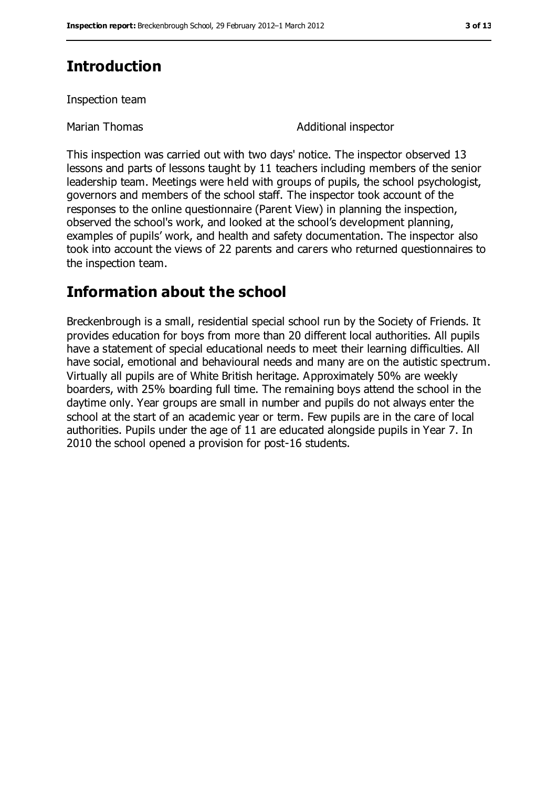# **Introduction**

Inspection team

Marian Thomas **Additional inspector** 

This inspection was carried out with two days' notice. The inspector observed 13 lessons and parts of lessons taught by 11 teachers including members of the senior leadership team. Meetings were held with groups of pupils, the school psychologist, governors and members of the school staff. The inspector took account of the responses to the online questionnaire (Parent View) in planning the inspection, observed the school's work, and looked at the school's development planning, examples of pupils' work, and health and safety documentation. The inspector also took into account the views of 22 parents and carers who returned questionnaires to the inspection team.

# **Information about the school**

Breckenbrough is a small, residential special school run by the Society of Friends. It provides education for boys from more than 20 different local authorities. All pupils have a statement of special educational needs to meet their learning difficulties. All have social, emotional and behavioural needs and many are on the autistic spectrum. Virtually all pupils are of White British heritage. Approximately 50% are weekly boarders, with 25% boarding full time. The remaining boys attend the school in the daytime only. Year groups are small in number and pupils do not always enter the school at the start of an academic year or term. Few pupils are in the care of local authorities. Pupils under the age of 11 are educated alongside pupils in Year 7. In 2010 the school opened a provision for post-16 students.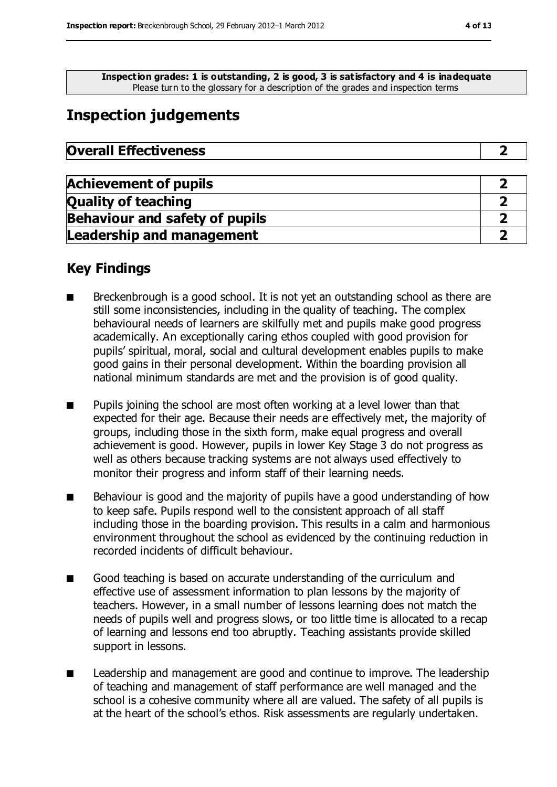**Inspection grades: 1 is outstanding, 2 is good, 3 is satisfactory and 4 is inadequate** Please turn to the glossary for a description of the grades and inspection terms

# **Inspection judgements**

| <b>Overall Effectiveness</b> |  |
|------------------------------|--|
|------------------------------|--|

| <b>Achievement of pupils</b>          |  |
|---------------------------------------|--|
| <b>Quality of teaching</b>            |  |
| <b>Behaviour and safety of pupils</b> |  |
| <b>Leadership and management</b>      |  |

### **Key Findings**

- Breckenbrough is a good school. It is not yet an outstanding school as there are still some inconsistencies, including in the quality of teaching. The complex behavioural needs of learners are skilfully met and pupils make good progress academically. An exceptionally caring ethos coupled with good provision for pupils' spiritual, moral, social and cultural development enables pupils to make good gains in their personal development. Within the boarding provision all national minimum standards are met and the provision is of good quality.
- Pupils joining the school are most often working at a level lower than that expected for their age. Because their needs are effectively met, the majority of groups, including those in the sixth form, make equal progress and overall achievement is good. However, pupils in lower Key Stage 3 do not progress as well as others because tracking systems are not always used effectively to monitor their progress and inform staff of their learning needs.
- Behaviour is good and the majority of pupils have a good understanding of how to keep safe. Pupils respond well to the consistent approach of all staff including those in the boarding provision. This results in a calm and harmonious environment throughout the school as evidenced by the continuing reduction in recorded incidents of difficult behaviour.
- Good teaching is based on accurate understanding of the curriculum and effective use of assessment information to plan lessons by the majority of teachers. However, in a small number of lessons learning does not match the needs of pupils well and progress slows, or too little time is allocated to a recap of learning and lessons end too abruptly. Teaching assistants provide skilled support in lessons.
- Leadership and management are good and continue to improve. The leadership of teaching and management of staff performance are well managed and the school is a cohesive community where all are valued. The safety of all pupils is at the heart of the school's ethos. Risk assessments are regularly undertaken.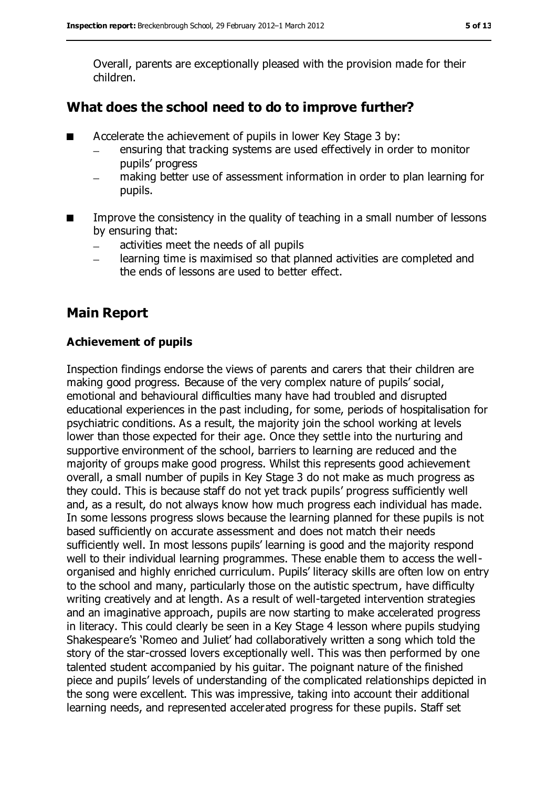Overall, parents are exceptionally pleased with the provision made for their children.

## **What does the school need to do to improve further?**

- Accelerate the achievement of pupils in lower Key Stage 3 by:
	- ensuring that tracking systems are used effectively in order to monitor pupils' progress
	- making better use of assessment information in order to plan learning for pupils.
- Improve the consistency in the quality of teaching in a small number of lessons by ensuring that:
	- activities meet the needs of all pupils  $\equiv$
	- learning time is maximised so that planned activities are completed and  $\frac{1}{2}$ the ends of lessons are used to better effect.

# **Main Report**

#### **Achievement of pupils**

Inspection findings endorse the views of parents and carers that their children are making good progress. Because of the very complex nature of pupils' social, emotional and behavioural difficulties many have had troubled and disrupted educational experiences in the past including, for some, periods of hospitalisation for psychiatric conditions. As a result, the majority join the school working at levels lower than those expected for their age. Once they settle into the nurturing and supportive environment of the school, barriers to learning are reduced and the majority of groups make good progress. Whilst this represents good achievement overall, a small number of pupils in Key Stage 3 do not make as much progress as they could. This is because staff do not yet track pupils' progress sufficiently well and, as a result, do not always know how much progress each individual has made. In some lessons progress slows because the learning planned for these pupils is not based sufficiently on accurate assessment and does not match their needs sufficiently well. In most lessons pupils' learning is good and the majority respond well to their individual learning programmes. These enable them to access the wellorganised and highly enriched curriculum. Pupils' literacy skills are often low on entry to the school and many, particularly those on the autistic spectrum, have difficulty writing creatively and at length. As a result of well-targeted intervention strategies and an imaginative approach, pupils are now starting to make accelerated progress in literacy. This could clearly be seen in a Key Stage 4 lesson where pupils studying Shakespeare's 'Romeo and Juliet' had collaboratively written a song which told the story of the star-crossed lovers exceptionally well. This was then performed by one talented student accompanied by his guitar. The poignant nature of the finished piece and pupils' levels of understanding of the complicated relationships depicted in the song were excellent. This was impressive, taking into account their additional learning needs, and represented accelerated progress for these pupils. Staff set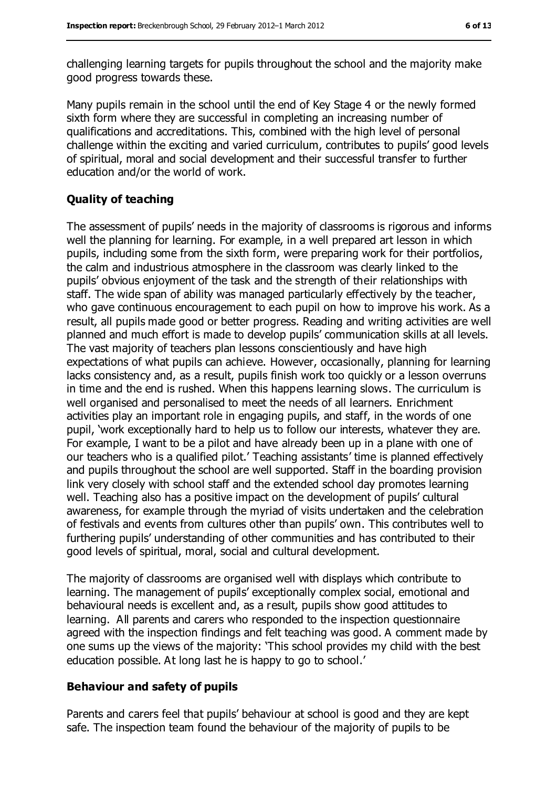challenging learning targets for pupils throughout the school and the majority make good progress towards these.

Many pupils remain in the school until the end of Key Stage 4 or the newly formed sixth form where they are successful in completing an increasing number of qualifications and accreditations. This, combined with the high level of personal challenge within the exciting and varied curriculum, contributes to pupils' good levels of spiritual, moral and social development and their successful transfer to further education and/or the world of work.

### **Quality of teaching**

The assessment of pupils' needs in the majority of classrooms is rigorous and informs well the planning for learning. For example, in a well prepared art lesson in which pupils, including some from the sixth form, were preparing work for their portfolios, the calm and industrious atmosphere in the classroom was clearly linked to the pupils' obvious enjoyment of the task and the strength of their relationships with staff. The wide span of ability was managed particularly effectively by the teacher, who gave continuous encouragement to each pupil on how to improve his work. As a result, all pupils made good or better progress. Reading and writing activities are well planned and much effort is made to develop pupils' communication skills at all levels. The vast majority of teachers plan lessons conscientiously and have high expectations of what pupils can achieve. However, occasionally, planning for learning lacks consistency and, as a result, pupils finish work too quickly or a lesson overruns in time and the end is rushed. When this happens learning slows. The curriculum is well organised and personalised to meet the needs of all learners. Enrichment activities play an important role in engaging pupils, and staff, in the words of one pupil, 'work exceptionally hard to help us to follow our interests, whatever they are. For example, I want to be a pilot and have already been up in a plane with one of our teachers who is a qualified pilot.' Teaching assistants' time is planned effectively and pupils throughout the school are well supported. Staff in the boarding provision link very closely with school staff and the extended school day promotes learning well. Teaching also has a positive impact on the development of pupils' cultural awareness, for example through the myriad of visits undertaken and the celebration of festivals and events from cultures other than pupils' own. This contributes well to furthering pupils' understanding of other communities and has contributed to their good levels of spiritual, moral, social and cultural development.

The majority of classrooms are organised well with displays which contribute to learning. The management of pupils' exceptionally complex social, emotional and behavioural needs is excellent and, as a result, pupils show good attitudes to learning. All parents and carers who responded to the inspection questionnaire agreed with the inspection findings and felt teaching was good. A comment made by one sums up the views of the majority: 'This school provides my child with the best education possible. At long last he is happy to go to school.'

#### **Behaviour and safety of pupils**

Parents and carers feel that pupils' behaviour at school is good and they are kept safe. The inspection team found the behaviour of the majority of pupils to be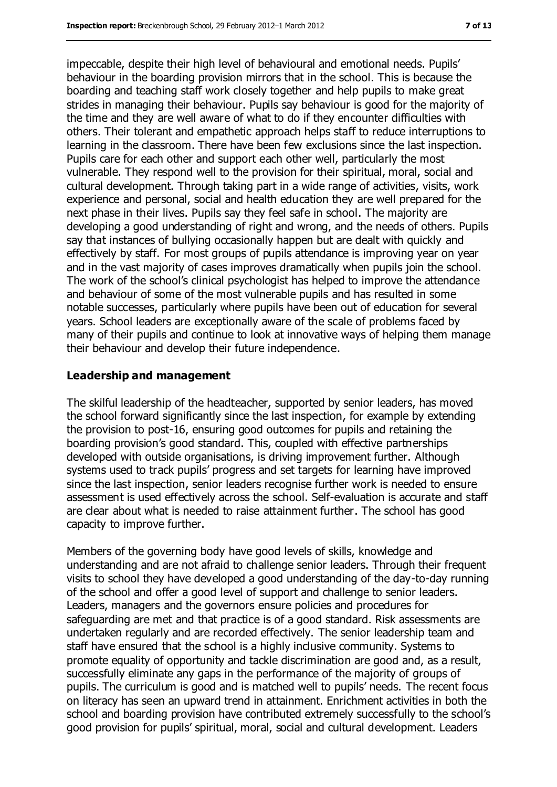impeccable, despite their high level of behavioural and emotional needs. Pupils' behaviour in the boarding provision mirrors that in the school. This is because the boarding and teaching staff work closely together and help pupils to make great strides in managing their behaviour. Pupils say behaviour is good for the majority of the time and they are well aware of what to do if they encounter difficulties with others. Their tolerant and empathetic approach helps staff to reduce interruptions to learning in the classroom. There have been few exclusions since the last inspection. Pupils care for each other and support each other well, particularly the most vulnerable. They respond well to the provision for their spiritual, moral, social and cultural development. Through taking part in a wide range of activities, visits, work experience and personal, social and health education they are well prepared for the next phase in their lives. Pupils say they feel safe in school. The majority are developing a good understanding of right and wrong, and the needs of others. Pupils say that instances of bullying occasionally happen but are dealt with quickly and effectively by staff. For most groups of pupils attendance is improving year on year and in the vast majority of cases improves dramatically when pupils join the school. The work of the school's clinical psychologist has helped to improve the attendance and behaviour of some of the most vulnerable pupils and has resulted in some notable successes, particularly where pupils have been out of education for several years. School leaders are exceptionally aware of the scale of problems faced by many of their pupils and continue to look at innovative ways of helping them manage their behaviour and develop their future independence.

#### **Leadership and management**

The skilful leadership of the headteacher, supported by senior leaders, has moved the school forward significantly since the last inspection, for example by extending the provision to post-16, ensuring good outcomes for pupils and retaining the boarding provision's good standard. This, coupled with effective partnerships developed with outside organisations, is driving improvement further. Although systems used to track pupils' progress and set targets for learning have improved since the last inspection, senior leaders recognise further work is needed to ensure assessment is used effectively across the school. Self-evaluation is accurate and staff are clear about what is needed to raise attainment further. The school has good capacity to improve further.

Members of the governing body have good levels of skills, knowledge and understanding and are not afraid to challenge senior leaders. Through their frequent visits to school they have developed a good understanding of the day-to-day running of the school and offer a good level of support and challenge to senior leaders. Leaders, managers and the governors ensure policies and procedures for safeguarding are met and that practice is of a good standard. Risk assessments are undertaken regularly and are recorded effectively. The senior leadership team and staff have ensured that the school is a highly inclusive community. Systems to promote equality of opportunity and tackle discrimination are good and, as a result, successfully eliminate any gaps in the performance of the majority of groups of pupils. The curriculum is good and is matched well to pupils' needs. The recent focus on literacy has seen an upward trend in attainment. Enrichment activities in both the school and boarding provision have contributed extremely successfully to the school's good provision for pupils' spiritual, moral, social and cultural development. Leaders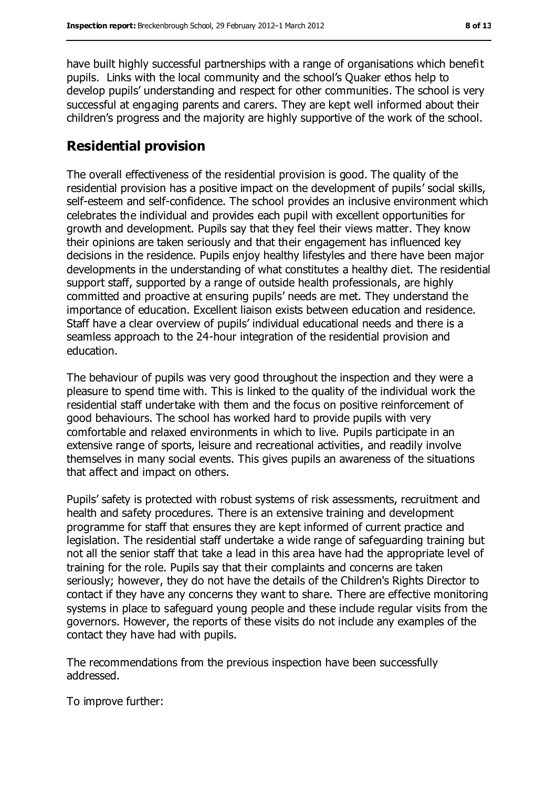have built highly successful partnerships with a range of organisations which benefit pupils. Links with the local community and the school's Quaker ethos help to develop pupils' understanding and respect for other communities. The school is very successful at engaging parents and carers. They are kept well informed about their children's progress and the majority are highly supportive of the work of the school.

### **Residential provision**

The overall effectiveness of the residential provision is good. The quality of the residential provision has a positive impact on the development of pupils' social skills, self-esteem and self-confidence. The school provides an inclusive environment which celebrates the individual and provides each pupil with excellent opportunities for growth and development. Pupils say that they feel their views matter. They know their opinions are taken seriously and that their engagement has influenced key decisions in the residence. Pupils enjoy healthy lifestyles and there have been major developments in the understanding of what constitutes a healthy diet. The residential support staff, supported by a range of outside health professionals, are highly committed and proactive at ensuring pupils' needs are met. They understand the importance of education. Excellent liaison exists between education and residence. Staff have a clear overview of pupils' individual educational needs and there is a seamless approach to the 24-hour integration of the residential provision and education.

The behaviour of pupils was very good throughout the inspection and they were a pleasure to spend time with. This is linked to the quality of the individual work the residential staff undertake with them and the focus on positive reinforcement of good behaviours. The school has worked hard to provide pupils with very comfortable and relaxed environments in which to live. Pupils participate in an extensive range of sports, leisure and recreational activities, and readily involve themselves in many social events. This gives pupils an awareness of the situations that affect and impact on others.

Pupils' safety is protected with robust systems of risk assessments, recruitment and health and safety procedures. There is an extensive training and development programme for staff that ensures they are kept informed of current practice and legislation. The residential staff undertake a wide range of safeguarding training but not all the senior staff that take a lead in this area have had the appropriate level of training for the role. Pupils say that their complaints and concerns are taken seriously; however, they do not have the details of the Children's Rights Director to contact if they have any concerns they want to share. There are effective monitoring systems in place to safeguard young people and these include regular visits from the governors. However, the reports of these visits do not include any examples of the contact they have had with pupils.

The recommendations from the previous inspection have been successfully addressed.

To improve further: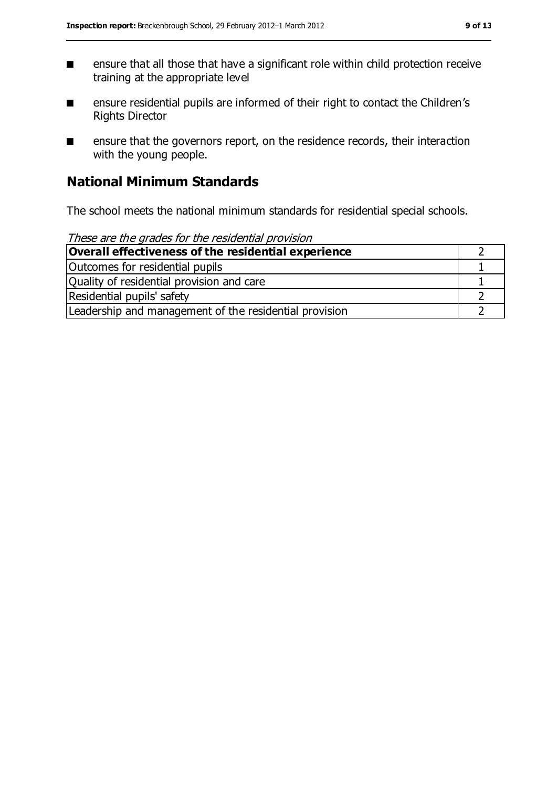- ensure that all those that have a significant role within child protection receive training at the appropriate level
- ensure residential pupils are informed of their right to contact the Children's Rights Director
- ensure that the governors report, on the residence records, their interaction with the young people.

# **National Minimum Standards**

The school meets the national minimum standards for residential special schools.

| These are the grades for the residential provision     |  |
|--------------------------------------------------------|--|
| Overall effectiveness of the residential experience    |  |
| Outcomes for residential pupils                        |  |
| Quality of residential provision and care              |  |
| Residential pupils' safety                             |  |
| Leadership and management of the residential provision |  |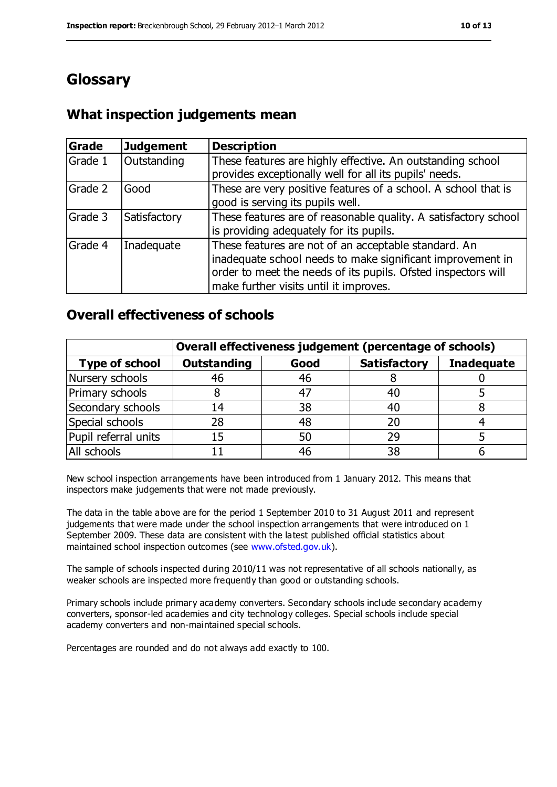# **Glossary**

## **What inspection judgements mean**

| Grade   | <b>Judgement</b> | <b>Description</b>                                                                                                                                                                                                            |
|---------|------------------|-------------------------------------------------------------------------------------------------------------------------------------------------------------------------------------------------------------------------------|
| Grade 1 | Outstanding      | These features are highly effective. An outstanding school<br>provides exceptionally well for all its pupils' needs.                                                                                                          |
| Grade 2 | Good             | These are very positive features of a school. A school that is<br>good is serving its pupils well.                                                                                                                            |
| Grade 3 | Satisfactory     | These features are of reasonable quality. A satisfactory school<br>is providing adequately for its pupils.                                                                                                                    |
| Grade 4 | Inadequate       | These features are not of an acceptable standard. An<br>inadequate school needs to make significant improvement in<br>order to meet the needs of its pupils. Ofsted inspectors will<br>make further visits until it improves. |

### **Overall effectiveness of schools**

|                       | Overall effectiveness judgement (percentage of schools) |      |                     |                   |
|-----------------------|---------------------------------------------------------|------|---------------------|-------------------|
| <b>Type of school</b> | <b>Outstanding</b>                                      | Good | <b>Satisfactory</b> | <b>Inadequate</b> |
| Nursery schools       | 46                                                      | 46   |                     |                   |
| Primary schools       | 8                                                       | 47   | 40                  |                   |
| Secondary schools     | 14                                                      | 38   | 40                  |                   |
| Special schools       | 28                                                      | 48   |                     |                   |
| Pupil referral units  | 15                                                      | 50   | 29                  |                   |
| All schools           |                                                         | 46   | 38                  |                   |

New school inspection arrangements have been introduced from 1 January 2012. This means that inspectors make judgements that were not made previously.

The data in the table above are for the period 1 September 2010 to 31 August 2011 and represent judgements that were made under the school inspection arrangements that were introduced on 1 September 2009. These data are consistent with the latest published official statistics about maintained school inspection outcomes (see [www.ofsted.gov.uk\)](../../Downloads/www.ofsted.gov.uk).

The sample of schools inspected during 2010/11 was not representative of all schools nationally, as weaker schools are inspected more frequently than good or outstanding schools.

Primary schools include primary academy converters. Secondary schools include secondary academy converters, sponsor-led academies and city technology colleges. Special schools include special academy converters and non-maintained special schools.

Percentages are rounded and do not always add exactly to 100.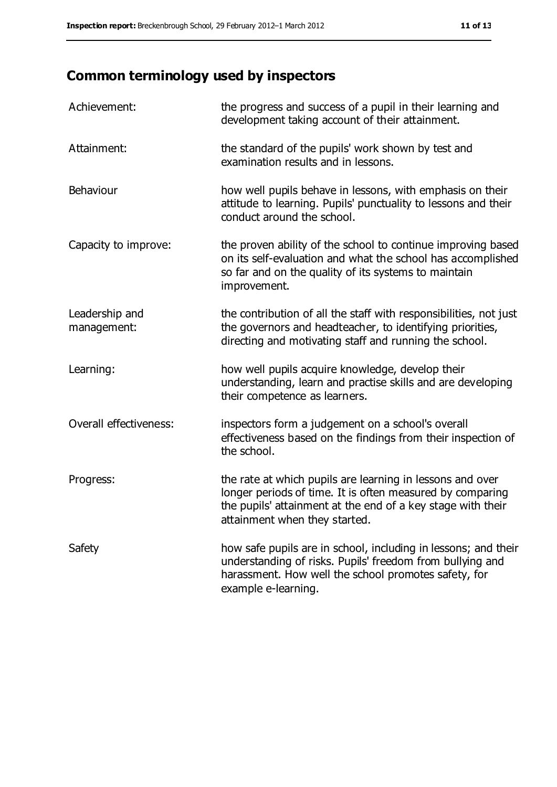# **Common terminology used by inspectors**

| Achievement:                  | the progress and success of a pupil in their learning and<br>development taking account of their attainment.                                                                                                           |
|-------------------------------|------------------------------------------------------------------------------------------------------------------------------------------------------------------------------------------------------------------------|
| Attainment:                   | the standard of the pupils' work shown by test and<br>examination results and in lessons.                                                                                                                              |
| Behaviour                     | how well pupils behave in lessons, with emphasis on their<br>attitude to learning. Pupils' punctuality to lessons and their<br>conduct around the school.                                                              |
| Capacity to improve:          | the proven ability of the school to continue improving based<br>on its self-evaluation and what the school has accomplished<br>so far and on the quality of its systems to maintain<br>improvement.                    |
| Leadership and<br>management: | the contribution of all the staff with responsibilities, not just<br>the governors and headteacher, to identifying priorities,<br>directing and motivating staff and running the school.                               |
| Learning:                     | how well pupils acquire knowledge, develop their<br>understanding, learn and practise skills and are developing<br>their competence as learners.                                                                       |
| Overall effectiveness:        | inspectors form a judgement on a school's overall<br>effectiveness based on the findings from their inspection of<br>the school.                                                                                       |
| Progress:                     | the rate at which pupils are learning in lessons and over<br>longer periods of time. It is often measured by comparing<br>the pupils' attainment at the end of a key stage with their<br>attainment when they started. |
| Safety                        | how safe pupils are in school, including in lessons; and their<br>understanding of risks. Pupils' freedom from bullying and<br>harassment. How well the school promotes safety, for<br>example e-learning.             |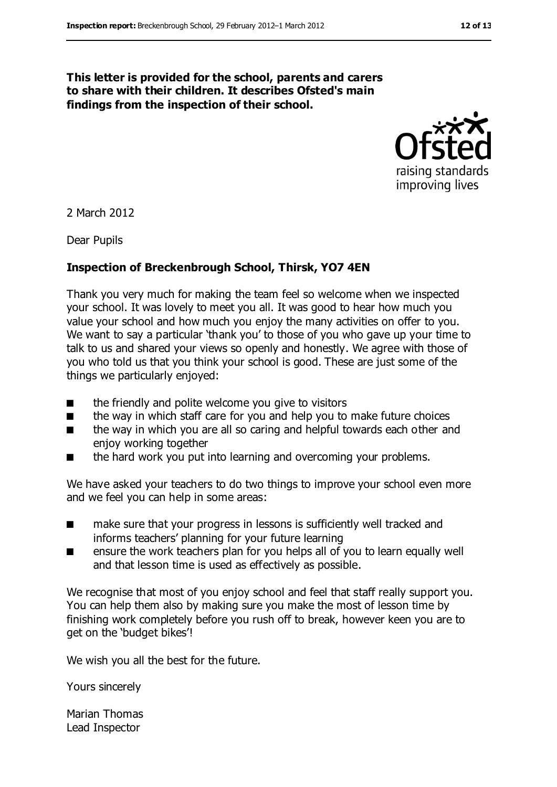#### **This letter is provided for the school, parents and carers to share with their children. It describes Ofsted's main findings from the inspection of their school.**



2 March 2012

Dear Pupils

#### **Inspection of Breckenbrough School, Thirsk, YO7 4EN**

Thank you very much for making the team feel so welcome when we inspected your school. It was lovely to meet you all. It was good to hear how much you value your school and how much you enjoy the many activities on offer to you. We want to say a particular 'thank you' to those of you who gave up your time to talk to us and shared your views so openly and honestly. We agree with those of you who told us that you think your school is good. These are just some of the things we particularly enjoyed:

- the friendly and polite welcome you give to visitors
- the way in which staff care for you and help you to make future choices
- the way in which you are all so caring and helpful towards each other and enjoy working together
- the hard work you put into learning and overcoming your problems.

We have asked your teachers to do two things to improve your school even more and we feel you can help in some areas:

- make sure that your progress in lessons is sufficiently well tracked and informs teachers' planning for your future learning
- ensure the work teachers plan for you helps all of you to learn equally well and that lesson time is used as effectively as possible.

We recognise that most of you enjoy school and feel that staff really support you. You can help them also by making sure you make the most of lesson time by finishing work completely before you rush off to break, however keen you are to get on the 'budget bikes'!

We wish you all the best for the future.

Yours sincerely

Marian Thomas Lead Inspector